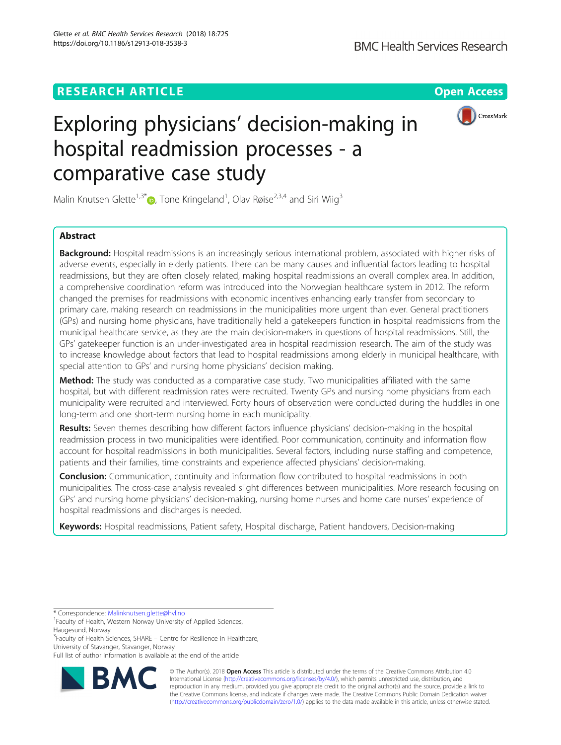## **RESEARCH ARTICLE Example 2018 12:30 THE Open Access**



# Exploring physicians' decision-making in hospital readmission processes - a comparative case study

Malin Knutsen Glette<sup>1[,](http://orcid.org/0000-0002-3822-0581)3\*</sup> D, Tone Kringeland<sup>1</sup>, Olav Røise<sup>2,3,4</sup> and Siri Wiig<sup>3</sup>

## Abstract

Background: Hospital readmissions is an increasingly serious international problem, associated with higher risks of adverse events, especially in elderly patients. There can be many causes and influential factors leading to hospital readmissions, but they are often closely related, making hospital readmissions an overall complex area. In addition, a comprehensive coordination reform was introduced into the Norwegian healthcare system in 2012. The reform changed the premises for readmissions with economic incentives enhancing early transfer from secondary to primary care, making research on readmissions in the municipalities more urgent than ever. General practitioners (GPs) and nursing home physicians, have traditionally held a gatekeepers function in hospital readmissions from the municipal healthcare service, as they are the main decision-makers in questions of hospital readmissions. Still, the GPs' gatekeeper function is an under-investigated area in hospital readmission research. The aim of the study was to increase knowledge about factors that lead to hospital readmissions among elderly in municipal healthcare, with special attention to GPs' and nursing home physicians' decision making.

Method: The study was conducted as a comparative case study. Two municipalities affiliated with the same hospital, but with different readmission rates were recruited. Twenty GPs and nursing home physicians from each municipality were recruited and interviewed. Forty hours of observation were conducted during the huddles in one long-term and one short-term nursing home in each municipality.

Results: Seven themes describing how different factors influence physicians' decision-making in the hospital readmission process in two municipalities were identified. Poor communication, continuity and information flow account for hospital readmissions in both municipalities. Several factors, including nurse staffing and competence, patients and their families, time constraints and experience affected physicians' decision-making.

**Conclusion:** Communication, continuity and information flow contributed to hospital readmissions in both municipalities. The cross-case analysis revealed slight differences between municipalities. More research focusing on GPs' and nursing home physicians' decision-making, nursing home nurses and home care nurses' experience of hospital readmissions and discharges is needed.

Keywords: Hospital readmissions, Patient safety, Hospital discharge, Patient handovers, Decision-making

<sup>3</sup>Faculty of Health Sciences, SHARE - Centre for Resilience in Healthcare, University of Stavanger, Stavanger, Norway

Full list of author information is available at the end of the article



© The Author(s). 2018 Open Access This article is distributed under the terms of the Creative Commons Attribution 4.0 International License [\(http://creativecommons.org/licenses/by/4.0/](http://creativecommons.org/licenses/by/4.0/)), which permits unrestricted use, distribution, and reproduction in any medium, provided you give appropriate credit to the original author(s) and the source, provide a link to the Creative Commons license, and indicate if changes were made. The Creative Commons Public Domain Dedication waiver [\(http://creativecommons.org/publicdomain/zero/1.0/](http://creativecommons.org/publicdomain/zero/1.0/)) applies to the data made available in this article, unless otherwise stated.

<sup>\*</sup> Correspondence: [Malinknutsen.glette@hvl.no](mailto:Malinknutsen.glette@hvl.no) <sup>1</sup>

Faculty of Health, Western Norway University of Applied Sciences,

Haugesund, Norway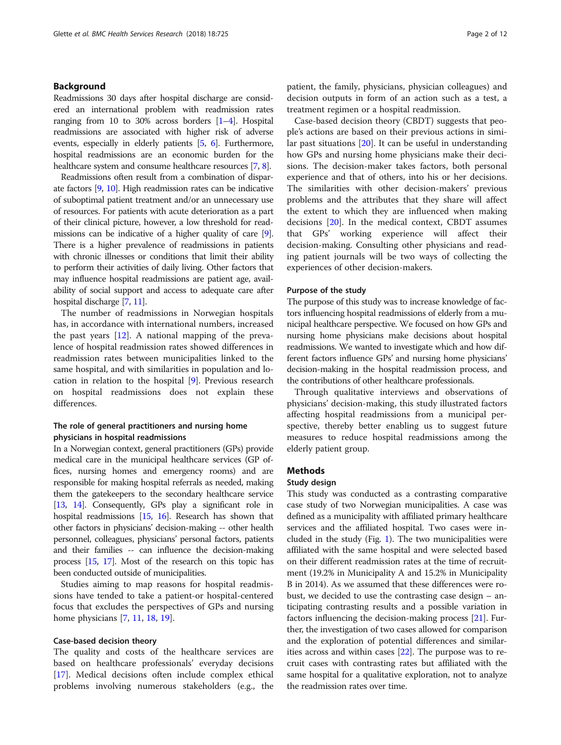## Background

Readmissions 30 days after hospital discharge are considered an international problem with readmission rates ranging from 10 to 30% across borders [\[1](#page-10-0)–[4](#page-10-0)]. Hospital readmissions are associated with higher risk of adverse events, especially in elderly patients [\[5,](#page-10-0) [6\]](#page-10-0). Furthermore, hospital readmissions are an economic burden for the healthcare system and consume healthcare resources [\[7,](#page-10-0) [8](#page-10-0)].

Readmissions often result from a combination of disparate factors [\[9,](#page-10-0) [10](#page-10-0)]. High readmission rates can be indicative of suboptimal patient treatment and/or an unnecessary use of resources. For patients with acute deterioration as a part of their clinical picture, however, a low threshold for readmissions can be indicative of a higher quality of care [[9](#page-10-0)]. There is a higher prevalence of readmissions in patients with chronic illnesses or conditions that limit their ability to perform their activities of daily living. Other factors that may influence hospital readmissions are patient age, availability of social support and access to adequate care after hospital discharge [\[7](#page-10-0), [11](#page-10-0)].

The number of readmissions in Norwegian hospitals has, in accordance with international numbers, increased the past years [\[12](#page-10-0)]. A national mapping of the prevalence of hospital readmission rates showed differences in readmission rates between municipalities linked to the same hospital, and with similarities in population and location in relation to the hospital [[9\]](#page-10-0). Previous research on hospital readmissions does not explain these differences.

## The role of general practitioners and nursing home physicians in hospital readmissions

In a Norwegian context, general practitioners (GPs) provide medical care in the municipal healthcare services (GP offices, nursing homes and emergency rooms) and are responsible for making hospital referrals as needed, making them the gatekeepers to the secondary healthcare service [[13](#page-10-0), [14\]](#page-10-0). Consequently, GPs play a significant role in hospital readmissions [\[15](#page-10-0), [16\]](#page-11-0). Research has shown that other factors in physicians' decision-making -- other health personnel, colleagues, physicians' personal factors, patients and their families -- can influence the decision-making process [\[15,](#page-10-0) [17\]](#page-11-0). Most of the research on this topic has been conducted outside of municipalities.

Studies aiming to map reasons for hospital readmissions have tended to take a patient-or hospital-centered focus that excludes the perspectives of GPs and nursing home physicians [[7](#page-10-0), [11](#page-10-0), [18](#page-11-0), [19](#page-11-0)].

## Case-based decision theory

The quality and costs of the healthcare services are based on healthcare professionals' everyday decisions [[17\]](#page-11-0). Medical decisions often include complex ethical problems involving numerous stakeholders (e.g., the patient, the family, physicians, physician colleagues) and decision outputs in form of an action such as a test, a treatment regimen or a hospital readmission.

Case-based decision theory (CBDT) suggests that people's actions are based on their previous actions in similar past situations [[20\]](#page-11-0). It can be useful in understanding how GPs and nursing home physicians make their decisions. The decision-maker takes factors, both personal experience and that of others, into his or her decisions. The similarities with other decision-makers' previous problems and the attributes that they share will affect the extent to which they are influenced when making decisions [[20\]](#page-11-0). In the medical context, CBDT assumes that GPs' working experience will affect their decision-making. Consulting other physicians and reading patient journals will be two ways of collecting the experiences of other decision-makers.

#### Purpose of the study

The purpose of this study was to increase knowledge of factors influencing hospital readmissions of elderly from a municipal healthcare perspective. We focused on how GPs and nursing home physicians make decisions about hospital readmissions. We wanted to investigate which and how different factors influence GPs' and nursing home physicians' decision-making in the hospital readmission process, and the contributions of other healthcare professionals.

Through qualitative interviews and observations of physicians' decision-making, this study illustrated factors affecting hospital readmissions from a municipal perspective, thereby better enabling us to suggest future measures to reduce hospital readmissions among the elderly patient group.

## Methods

#### Study design

This study was conducted as a contrasting comparative case study of two Norwegian municipalities. A case was defined as a municipality with affiliated primary healthcare services and the affiliated hospital. Two cases were included in the study (Fig. [1](#page-2-0)). The two municipalities were affiliated with the same hospital and were selected based on their different readmission rates at the time of recruitment (19.2% in Municipality A and 15.2% in Municipality B in 2014). As we assumed that these differences were robust, we decided to use the contrasting case design – anticipating contrasting results and a possible variation in factors influencing the decision-making process [\[21](#page-11-0)]. Further, the investigation of two cases allowed for comparison and the exploration of potential differences and similarities across and within cases [\[22\]](#page-11-0). The purpose was to recruit cases with contrasting rates but affiliated with the same hospital for a qualitative exploration, not to analyze the readmission rates over time.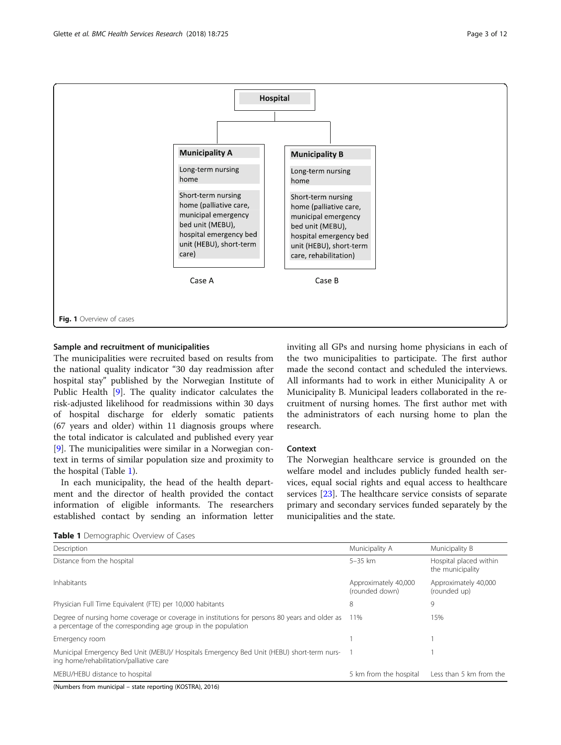<span id="page-2-0"></span>

## Sample and recruitment of municipalities

The municipalities were recruited based on results from the national quality indicator "30 day readmission after hospital stay" published by the Norwegian Institute of Public Health [[9\]](#page-10-0). The quality indicator calculates the risk-adjusted likelihood for readmissions within 30 days of hospital discharge for elderly somatic patients (67 years and older) within 11 diagnosis groups where the total indicator is calculated and published every year [[9\]](#page-10-0). The municipalities were similar in a Norwegian context in terms of similar population size and proximity to the hospital (Table 1).

In each municipality, the head of the health department and the director of health provided the contact information of eligible informants. The researchers established contact by sending an information letter inviting all GPs and nursing home physicians in each of the two municipalities to participate. The first author made the second contact and scheduled the interviews. All informants had to work in either Municipality A or Municipality B. Municipal leaders collaborated in the recruitment of nursing homes. The first author met with the administrators of each nursing home to plan the research.

## Context

The Norwegian healthcare service is grounded on the welfare model and includes publicly funded health services, equal social rights and equal access to healthcare services [\[23\]](#page-11-0). The healthcare service consists of separate primary and secondary services funded separately by the municipalities and the state.

Table 1 Demographic Overview of Cases

| Description                                                                                                                                                    | Municipality A                         | Municipality B                             |  |  |
|----------------------------------------------------------------------------------------------------------------------------------------------------------------|----------------------------------------|--------------------------------------------|--|--|
| Distance from the hospital                                                                                                                                     | $5 - 35$ km                            | Hospital placed within<br>the municipality |  |  |
| <b>Inhabitants</b>                                                                                                                                             | Approximately 40,000<br>(rounded down) | Approximately 40,000<br>(rounded up)       |  |  |
| Physician Full Time Equivalent (FTE) per 10,000 habitants                                                                                                      | 8                                      | 9                                          |  |  |
| Degree of nursing home coverage or coverage in institutions for persons 80 years and older as<br>a percentage of the corresponding age group in the population | 11%                                    | 15%                                        |  |  |
| Emergency room                                                                                                                                                 |                                        |                                            |  |  |
| Municipal Emergency Bed Unit (MEBU)/ Hospitals Emergency Bed Unit (HEBU) short-term nurs- 1<br>ing home/rehabilitation/palliative care                         |                                        |                                            |  |  |
| MEBU/HEBU distance to hospital                                                                                                                                 | 5 km from the hospital                 | Less than 5 km from the                    |  |  |

(Numbers from municipal – state reporting (KOSTRA), 2016)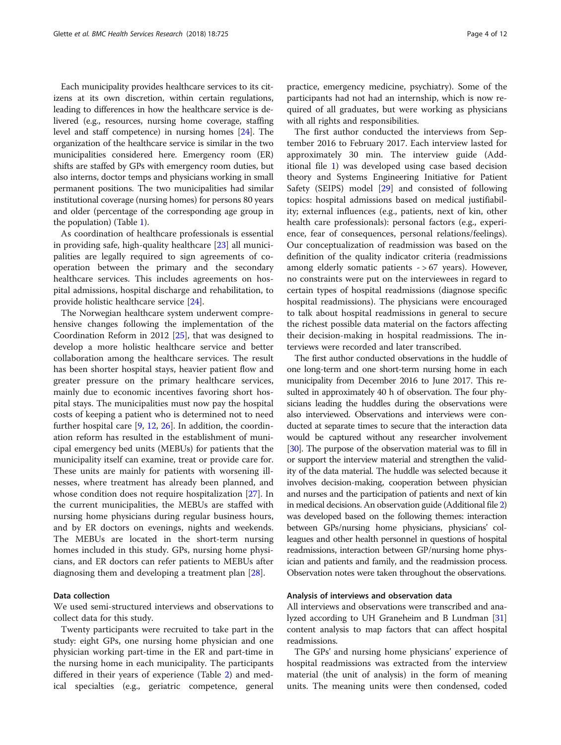Each municipality provides healthcare services to its citizens at its own discretion, within certain regulations, leading to differences in how the healthcare service is delivered (e.g., resources, nursing home coverage, staffing level and staff competence) in nursing homes [\[24](#page-11-0)]. The organization of the healthcare service is similar in the two municipalities considered here. Emergency room (ER) shifts are staffed by GPs with emergency room duties, but also interns, doctor temps and physicians working in small permanent positions. The two municipalities had similar institutional coverage (nursing homes) for persons 80 years and older (percentage of the corresponding age group in the population) (Table [1](#page-2-0)).

As coordination of healthcare professionals is essential in providing safe, high-quality healthcare [\[23\]](#page-11-0) all municipalities are legally required to sign agreements of cooperation between the primary and the secondary healthcare services. This includes agreements on hospital admissions, hospital discharge and rehabilitation, to provide holistic healthcare service [[24\]](#page-11-0).

The Norwegian healthcare system underwent comprehensive changes following the implementation of the Coordination Reform in 2012 [\[25\]](#page-11-0), that was designed to develop a more holistic healthcare service and better collaboration among the healthcare services. The result has been shorter hospital stays, heavier patient flow and greater pressure on the primary healthcare services, mainly due to economic incentives favoring short hospital stays. The municipalities must now pay the hospital costs of keeping a patient who is determined not to need further hospital care [\[9](#page-10-0), [12,](#page-10-0) [26\]](#page-11-0). In addition, the coordination reform has resulted in the establishment of municipal emergency bed units (MEBUs) for patients that the municipality itself can examine, treat or provide care for. These units are mainly for patients with worsening illnesses, where treatment has already been planned, and whose condition does not require hospitalization [[27](#page-11-0)]. In the current municipalities, the MEBUs are staffed with nursing home physicians during regular business hours, and by ER doctors on evenings, nights and weekends. The MEBUs are located in the short-term nursing homes included in this study. GPs, nursing home physicians, and ER doctors can refer patients to MEBUs after diagnosing them and developing a treatment plan [[28](#page-11-0)].

## Data collection

We used semi-structured interviews and observations to collect data for this study.

Twenty participants were recruited to take part in the study: eight GPs, one nursing home physician and one physician working part-time in the ER and part-time in the nursing home in each municipality. The participants differed in their years of experience (Table [2\)](#page-4-0) and medical specialties (e.g., geriatric competence, general

practice, emergency medicine, psychiatry). Some of the participants had not had an internship, which is now required of all graduates, but were working as physicians with all rights and responsibilities.

The first author conducted the interviews from September 2016 to February 2017. Each interview lasted for approximately 30 min. The interview guide (Additional file [1\)](#page-10-0) was developed using case based decision theory and Systems Engineering Initiative for Patient Safety (SEIPS) model [[29\]](#page-11-0) and consisted of following topics: hospital admissions based on medical justifiability; external influences (e.g., patients, next of kin, other health care professionals): personal factors (e.g., experience, fear of consequences, personal relations/feelings). Our conceptualization of readmission was based on the definition of the quality indicator criteria (readmissions among elderly somatic patients  $-$  > 67 years). However, no constraints were put on the interviewees in regard to certain types of hospital readmissions (diagnose specific hospital readmissions). The physicians were encouraged to talk about hospital readmissions in general to secure the richest possible data material on the factors affecting their decision-making in hospital readmissions. The interviews were recorded and later transcribed.

The first author conducted observations in the huddle of one long-term and one short-term nursing home in each municipality from December 2016 to June 2017. This resulted in approximately 40 h of observation. The four physicians leading the huddles during the observations were also interviewed. Observations and interviews were conducted at separate times to secure that the interaction data would be captured without any researcher involvement [[30](#page-11-0)]. The purpose of the observation material was to fill in or support the interview material and strengthen the validity of the data material. The huddle was selected because it involves decision-making, cooperation between physician and nurses and the participation of patients and next of kin in medical decisions. An observation guide (Additional file [2](#page-10-0)) was developed based on the following themes: interaction between GPs/nursing home physicians, physicians' colleagues and other health personnel in questions of hospital readmissions, interaction between GP/nursing home physician and patients and family, and the readmission process. Observation notes were taken throughout the observations.

## Analysis of interviews and observation data

All interviews and observations were transcribed and analyzed according to UH Graneheim and B Lundman [[31](#page-11-0)] content analysis to map factors that can affect hospital readmissions.

The GPs' and nursing home physicians' experience of hospital readmissions was extracted from the interview material (the unit of analysis) in the form of meaning units. The meaning units were then condensed, coded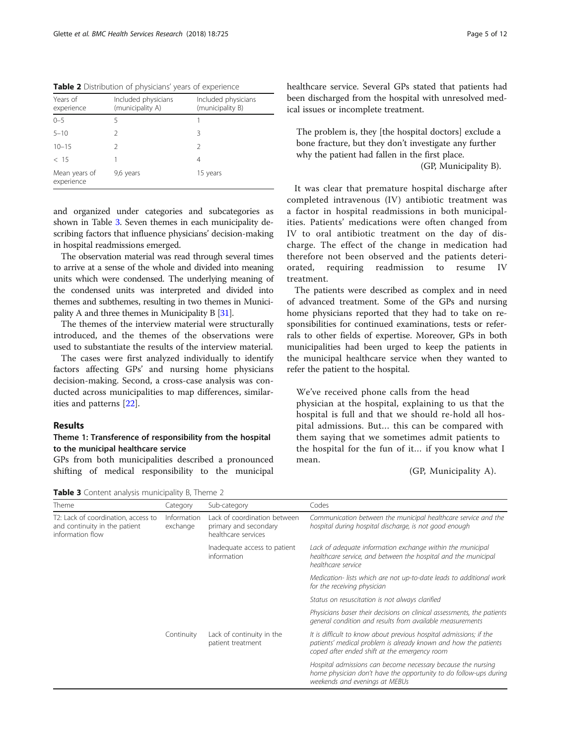<span id="page-4-0"></span>Table 2 Distribution of physicians' years of experience

| Years of<br>experience      | Included physicians<br>(municipality A) | Included physicians<br>(municipality B) |
|-----------------------------|-----------------------------------------|-----------------------------------------|
| $0 - 5$                     | 5                                       |                                         |
| $5 - 10$                    | 2                                       | 3                                       |
| $10 - 15$                   | 2                                       | $\mathcal{P}$                           |
| < 15                        |                                         | 4                                       |
| Mean years of<br>experience | 9,6 years                               | 15 years                                |

and organized under categories and subcategories as shown in Table 3. Seven themes in each municipality describing factors that influence physicians' decision-making in hospital readmissions emerged.

The observation material was read through several times to arrive at a sense of the whole and divided into meaning units which were condensed. The underlying meaning of the condensed units was interpreted and divided into themes and subthemes, resulting in two themes in Municipality A and three themes in Municipality B [\[31](#page-11-0)].

The themes of the interview material were structurally introduced, and the themes of the observations were used to substantiate the results of the interview material.

The cases were first analyzed individually to identify factors affecting GPs' and nursing home physicians decision-making. Second, a cross-case analysis was conducted across municipalities to map differences, similarities and patterns [\[22](#page-11-0)].

## Results

## Theme 1: Transference of responsibility from the hospital to the municipal healthcare service

GPs from both municipalities described a pronounced shifting of medical responsibility to the municipal

Table 3 Content analysis municipality B. Theme 2

healthcare service. Several GPs stated that patients had been discharged from the hospital with unresolved medical issues or incomplete treatment.

The problem is, they [the hospital doctors] exclude a bone fracture, but they don't investigate any further why the patient had fallen in the first place. (GP, Municipality B).

It was clear that premature hospital discharge after completed intravenous (IV) antibiotic treatment was a factor in hospital readmissions in both municipalities. Patients' medications were often changed from IV to oral antibiotic treatment on the day of discharge. The effect of the change in medication had therefore not been observed and the patients deteriorated, requiring readmission to resume IV treatment.

The patients were described as complex and in need of advanced treatment. Some of the GPs and nursing home physicians reported that they had to take on responsibilities for continued examinations, tests or referrals to other fields of expertise. Moreover, GPs in both municipalities had been urged to keep the patients in the municipal healthcare service when they wanted to refer the patient to the hospital.

We've received phone calls from the head physician at the hospital, explaining to us that the hospital is full and that we should re-hold all hospital admissions. But… this can be compared with them saying that we sometimes admit patients to the hospital for the fun of it… if you know what I mean.

(GP, Municipality A).

| Theme                                                                                    | Category                | Sub-category                                                                 | Codes                                                                                                                                                                                  |
|------------------------------------------------------------------------------------------|-------------------------|------------------------------------------------------------------------------|----------------------------------------------------------------------------------------------------------------------------------------------------------------------------------------|
| T2: Lack of coordination, access to<br>and continuity in the patient<br>information flow | Information<br>exchange | Lack of coordination between<br>primary and secondary<br>healthcare services | Communication between the municipal healthcare service and the<br>hospital during hospital discharge, is not good enough                                                               |
|                                                                                          |                         | Inadequate access to patient<br>information                                  | Lack of adequate information exchange within the municipal<br>healthcare service, and between the hospital and the municipal<br>healthcare service                                     |
|                                                                                          |                         |                                                                              | Medication- lists which are not up-to-date leads to additional work<br>for the receiving physician                                                                                     |
|                                                                                          |                         |                                                                              | Status on resuscitation is not always clarified                                                                                                                                        |
|                                                                                          |                         |                                                                              | Physicians baser their decisions on clinical assessments, the patients<br>general condition and results from available measurements                                                    |
|                                                                                          | Continuity              | Lack of continuity in the<br>patient treatment                               | It is difficult to know about previous hospital admissions; if the<br>patients' medical problem is already known and how the patients<br>coped after ended shift at the emergency room |
|                                                                                          |                         |                                                                              | Hospital admissions can become necessary because the nursing<br>home physician don't have the opportunity to do follow-ups during<br>weekends and evenings at MEBUs                    |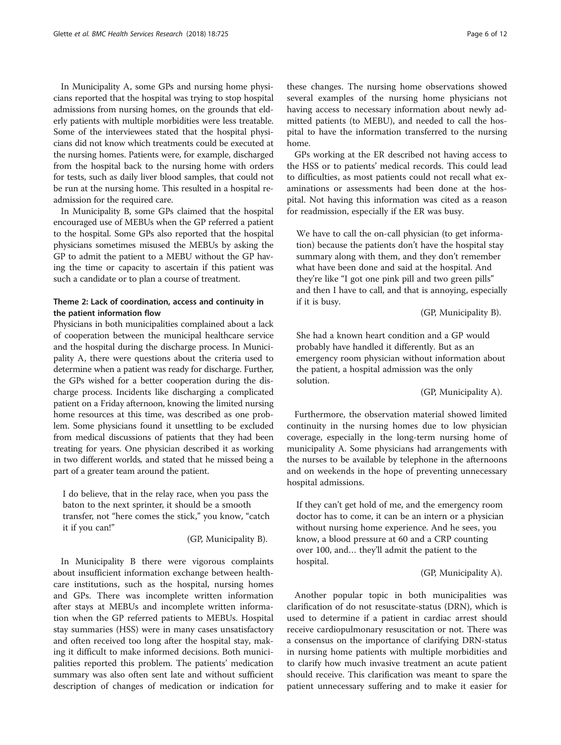In Municipality A, some GPs and nursing home physicians reported that the hospital was trying to stop hospital admissions from nursing homes, on the grounds that elderly patients with multiple morbidities were less treatable. Some of the interviewees stated that the hospital physicians did not know which treatments could be executed at the nursing homes. Patients were, for example, discharged from the hospital back to the nursing home with orders for tests, such as daily liver blood samples, that could not be run at the nursing home. This resulted in a hospital readmission for the required care.

In Municipality B, some GPs claimed that the hospital encouraged use of MEBUs when the GP referred a patient to the hospital. Some GPs also reported that the hospital physicians sometimes misused the MEBUs by asking the GP to admit the patient to a MEBU without the GP having the time or capacity to ascertain if this patient was such a candidate or to plan a course of treatment.

## Theme 2: Lack of coordination, access and continuity in the patient information flow

Physicians in both municipalities complained about a lack of cooperation between the municipal healthcare service and the hospital during the discharge process. In Municipality A, there were questions about the criteria used to determine when a patient was ready for discharge. Further, the GPs wished for a better cooperation during the discharge process. Incidents like discharging a complicated patient on a Friday afternoon, knowing the limited nursing home resources at this time, was described as one problem. Some physicians found it unsettling to be excluded from medical discussions of patients that they had been treating for years. One physician described it as working in two different worlds, and stated that he missed being a part of a greater team around the patient.

I do believe, that in the relay race, when you pass the baton to the next sprinter, it should be a smooth transfer, not "here comes the stick," you know, "catch it if you can!"

(GP, Municipality B).

In Municipality B there were vigorous complaints about insufficient information exchange between healthcare institutions, such as the hospital, nursing homes and GPs. There was incomplete written information after stays at MEBUs and incomplete written information when the GP referred patients to MEBUs. Hospital stay summaries (HSS) were in many cases unsatisfactory and often received too long after the hospital stay, making it difficult to make informed decisions. Both municipalities reported this problem. The patients' medication summary was also often sent late and without sufficient description of changes of medication or indication for

these changes. The nursing home observations showed several examples of the nursing home physicians not having access to necessary information about newly admitted patients (to MEBU), and needed to call the hospital to have the information transferred to the nursing home.

GPs working at the ER described not having access to the HSS or to patients' medical records. This could lead to difficulties, as most patients could not recall what examinations or assessments had been done at the hospital. Not having this information was cited as a reason for readmission, especially if the ER was busy.

We have to call the on-call physician (to get information) because the patients don't have the hospital stay summary along with them, and they don't remember what have been done and said at the hospital. And they're like "I got one pink pill and two green pills" and then I have to call, and that is annoying, especially if it is busy.

(GP, Municipality B).

She had a known heart condition and a GP would probably have handled it differently. But as an emergency room physician without information about the patient, a hospital admission was the only solution.

(GP, Municipality A).

Furthermore, the observation material showed limited continuity in the nursing homes due to low physician coverage, especially in the long-term nursing home of municipality A. Some physicians had arrangements with the nurses to be available by telephone in the afternoons and on weekends in the hope of preventing unnecessary hospital admissions.

If they can't get hold of me, and the emergency room doctor has to come, it can be an intern or a physician without nursing home experience. And he sees, you know, a blood pressure at 60 and a CRP counting over 100, and… they'll admit the patient to the hospital.

(GP, Municipality A).

Another popular topic in both municipalities was clarification of do not resuscitate-status (DRN), which is used to determine if a patient in cardiac arrest should receive cardiopulmonary resuscitation or not. There was a consensus on the importance of clarifying DRN-status in nursing home patients with multiple morbidities and to clarify how much invasive treatment an acute patient should receive. This clarification was meant to spare the patient unnecessary suffering and to make it easier for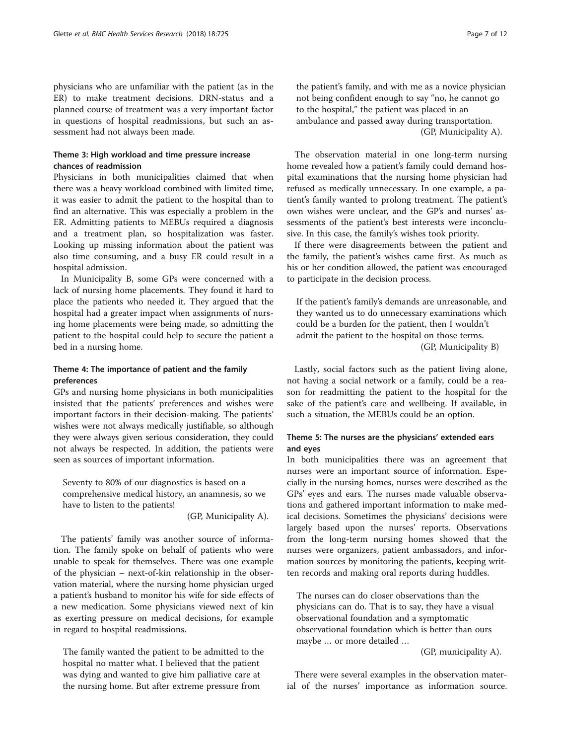physicians who are unfamiliar with the patient (as in the ER) to make treatment decisions. DRN-status and a planned course of treatment was a very important factor in questions of hospital readmissions, but such an assessment had not always been made.

## Theme 3: High workload and time pressure increase chances of readmission

Physicians in both municipalities claimed that when there was a heavy workload combined with limited time, it was easier to admit the patient to the hospital than to find an alternative. This was especially a problem in the ER. Admitting patients to MEBUs required a diagnosis and a treatment plan, so hospitalization was faster. Looking up missing information about the patient was also time consuming, and a busy ER could result in a hospital admission.

In Municipality B, some GPs were concerned with a lack of nursing home placements. They found it hard to place the patients who needed it. They argued that the hospital had a greater impact when assignments of nursing home placements were being made, so admitting the patient to the hospital could help to secure the patient a bed in a nursing home.

## Theme 4: The importance of patient and the family preferences

GPs and nursing home physicians in both municipalities insisted that the patients' preferences and wishes were important factors in their decision-making. The patients' wishes were not always medically justifiable, so although they were always given serious consideration, they could not always be respected. In addition, the patients were seen as sources of important information.

Seventy to 80% of our diagnostics is based on a comprehensive medical history, an anamnesis, so we have to listen to the patients!

(GP, Municipality A).

The patients' family was another source of information. The family spoke on behalf of patients who were unable to speak for themselves. There was one example of the physician – next-of-kin relationship in the observation material, where the nursing home physician urged a patient's husband to monitor his wife for side effects of a new medication. Some physicians viewed next of kin as exerting pressure on medical decisions, for example in regard to hospital readmissions.

The family wanted the patient to be admitted to the hospital no matter what. I believed that the patient was dying and wanted to give him palliative care at the nursing home. But after extreme pressure from

the patient's family, and with me as a novice physician not being confident enough to say "no, he cannot go to the hospital," the patient was placed in an ambulance and passed away during transportation. (GP, Municipality A).

The observation material in one long-term nursing home revealed how a patient's family could demand hospital examinations that the nursing home physician had refused as medically unnecessary. In one example, a patient's family wanted to prolong treatment. The patient's own wishes were unclear, and the GP's and nurses' assessments of the patient's best interests were inconclusive. In this case, the family's wishes took priority.

If there were disagreements between the patient and the family, the patient's wishes came first. As much as his or her condition allowed, the patient was encouraged to participate in the decision process.

If the patient's family's demands are unreasonable, and they wanted us to do unnecessary examinations which could be a burden for the patient, then I wouldn't admit the patient to the hospital on those terms. (GP, Municipality B)

Lastly, social factors such as the patient living alone, not having a social network or a family, could be a reason for readmitting the patient to the hospital for the sake of the patient's care and wellbeing. If available, in such a situation, the MEBUs could be an option.

## Theme 5: The nurses are the physicians' extended ears and eyes

In both municipalities there was an agreement that nurses were an important source of information. Especially in the nursing homes, nurses were described as the GPs' eyes and ears. The nurses made valuable observations and gathered important information to make medical decisions. Sometimes the physicians' decisions were largely based upon the nurses' reports. Observations from the long-term nursing homes showed that the nurses were organizers, patient ambassadors, and information sources by monitoring the patients, keeping written records and making oral reports during huddles.

The nurses can do closer observations than the physicians can do. That is to say, they have a visual observational foundation and a symptomatic observational foundation which is better than ours maybe … or more detailed …

(GP, municipality A).

There were several examples in the observation material of the nurses' importance as information source.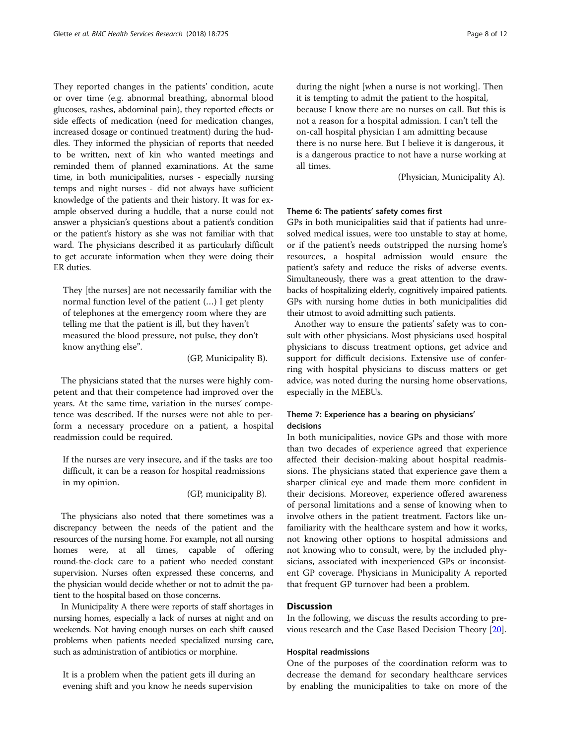They reported changes in the patients' condition, acute or over time (e.g. abnormal breathing, abnormal blood glucoses, rashes, abdominal pain), they reported effects or side effects of medication (need for medication changes, increased dosage or continued treatment) during the huddles. They informed the physician of reports that needed to be written, next of kin who wanted meetings and reminded them of planned examinations. At the same time, in both municipalities, nurses - especially nursing temps and night nurses - did not always have sufficient knowledge of the patients and their history. It was for example observed during a huddle, that a nurse could not answer a physician's questions about a patient's condition or the patient's history as she was not familiar with that ward. The physicians described it as particularly difficult to get accurate information when they were doing their ER duties.

They [the nurses] are not necessarily familiar with the normal function level of the patient (…) I get plenty of telephones at the emergency room where they are telling me that the patient is ill, but they haven't measured the blood pressure, not pulse, they don't know anything else".

(GP, Municipality B).

The physicians stated that the nurses were highly competent and that their competence had improved over the years. At the same time, variation in the nurses' competence was described. If the nurses were not able to perform a necessary procedure on a patient, a hospital readmission could be required.

If the nurses are very insecure, and if the tasks are too difficult, it can be a reason for hospital readmissions in my opinion.

(GP, municipality B).

The physicians also noted that there sometimes was a discrepancy between the needs of the patient and the resources of the nursing home. For example, not all nursing homes were, at all times, capable of offering round-the-clock care to a patient who needed constant supervision. Nurses often expressed these concerns, and the physician would decide whether or not to admit the patient to the hospital based on those concerns.

In Municipality A there were reports of staff shortages in nursing homes, especially a lack of nurses at night and on weekends. Not having enough nurses on each shift caused problems when patients needed specialized nursing care, such as administration of antibiotics or morphine.

It is a problem when the patient gets ill during an evening shift and you know he needs supervision

during the night [when a nurse is not working]. Then it is tempting to admit the patient to the hospital, because I know there are no nurses on call. But this is not a reason for a hospital admission. I can't tell the on-call hospital physician I am admitting because there is no nurse here. But I believe it is dangerous, it is a dangerous practice to not have a nurse working at all times.

(Physician, Municipality A).

## Theme 6: The patients' safety comes first

GPs in both municipalities said that if patients had unresolved medical issues, were too unstable to stay at home, or if the patient's needs outstripped the nursing home's resources, a hospital admission would ensure the patient's safety and reduce the risks of adverse events. Simultaneously, there was a great attention to the drawbacks of hospitalizing elderly, cognitively impaired patients. GPs with nursing home duties in both municipalities did their utmost to avoid admitting such patients.

Another way to ensure the patients' safety was to consult with other physicians. Most physicians used hospital physicians to discuss treatment options, get advice and support for difficult decisions. Extensive use of conferring with hospital physicians to discuss matters or get advice, was noted during the nursing home observations, especially in the MEBUs.

## Theme 7: Experience has a bearing on physicians' decisions

In both municipalities, novice GPs and those with more than two decades of experience agreed that experience affected their decision-making about hospital readmissions. The physicians stated that experience gave them a sharper clinical eye and made them more confident in their decisions. Moreover, experience offered awareness of personal limitations and a sense of knowing when to involve others in the patient treatment. Factors like unfamiliarity with the healthcare system and how it works, not knowing other options to hospital admissions and not knowing who to consult, were, by the included physicians, associated with inexperienced GPs or inconsistent GP coverage. Physicians in Municipality A reported that frequent GP turnover had been a problem.

## **Discussion**

In the following, we discuss the results according to previous research and the Case Based Decision Theory [[20](#page-11-0)].

## Hospital readmissions

One of the purposes of the coordination reform was to decrease the demand for secondary healthcare services by enabling the municipalities to take on more of the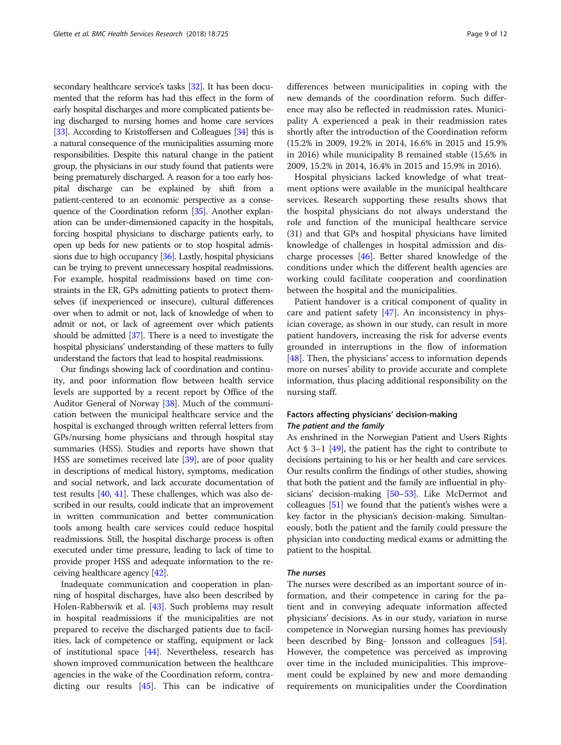secondary healthcare service's tasks [[32](#page-11-0)]. It has been documented that the reform has had this effect in the form of early hospital discharges and more complicated patients being discharged to nursing homes and home care services [[33](#page-11-0)]. According to Kristoffersen and Colleagues [\[34\]](#page-11-0) this is a natural consequence of the municipalities assuming more responsibilities. Despite this natural change in the patient group, the physicians in our study found that patients were being prematurely discharged. A reason for a too early hospital discharge can be explained by shift from a patient-centered to an economic perspective as a consequence of the Coordination reform [\[35\]](#page-11-0). Another explanation can be under-dimensioned capacity in the hospitals, forcing hospital physicians to discharge patients early, to open up beds for new patients or to stop hospital admissions due to high occupancy [\[36](#page-11-0)]. Lastly, hospital physicians can be trying to prevent unnecessary hospital readmissions. For example, hospital readmissions based on time constraints in the ER, GPs admitting patients to protect themselves (if inexperienced or insecure), cultural differences over when to admit or not, lack of knowledge of when to admit or not, or lack of agreement over which patients should be admitted [[37](#page-11-0)]. There is a need to investigate the hospital physicians' understanding of these matters to fully understand the factors that lead to hospital readmissions.

Our findings showing lack of coordination and continuity, and poor information flow between health service levels are supported by a recent report by Office of the Auditor General of Norway [[38](#page-11-0)]. Much of the communication between the municipal healthcare service and the hospital is exchanged through written referral letters from GPs/nursing home physicians and through hospital stay summaries (HSS). Studies and reports have shown that HSS are sometimes received late [\[39\]](#page-11-0), are of poor quality in descriptions of medical history, symptoms, medication and social network, and lack accurate documentation of test results [[40](#page-11-0), [41](#page-11-0)]. These challenges, which was also described in our results, could indicate that an improvement in written communication and better communication tools among health care services could reduce hospital readmissions. Still, the hospital discharge process is often executed under time pressure, leading to lack of time to provide proper HSS and adequate information to the receiving healthcare agency [[42\]](#page-11-0).

Inadequate communication and cooperation in planning of hospital discharges, have also been described by Holen-Rabbersvik et al. [[43](#page-11-0)]. Such problems may result in hospital readmissions if the municipalities are not prepared to receive the discharged patients due to facilities, lack of competence or staffing, equipment or lack of institutional space [\[44](#page-11-0)]. Nevertheless, research has shown improved communication between the healthcare agencies in the wake of the Coordination reform, contradicting our results [\[45](#page-11-0)]. This can be indicative of

differences between municipalities in coping with the new demands of the coordination reform. Such difference may also be reflected in readmission rates. Municipality A experienced a peak in their readmission rates shortly after the introduction of the Coordination reform (15.2% in 2009, 19.2% in 2014, 16.6% in 2015 and 15.9% in 2016) while municipality B remained stable (15,6% in 2009, 15.2% in 2014, 16.4% in 2015 and 15.9% in 2016).

Hospital physicians lacked knowledge of what treatment options were available in the municipal healthcare services. Research supporting these results shows that the hospital physicians do not always understand the role and function of the municipal healthcare service (31) and that GPs and hospital physicians have limited knowledge of challenges in hospital admission and discharge processes [\[46\]](#page-11-0). Better shared knowledge of the conditions under which the different health agencies are working could facilitate cooperation and coordination between the hospital and the municipalities.

Patient handover is a critical component of quality in care and patient safety [[47](#page-11-0)]. An inconsistency in physician coverage, as shown in our study, can result in more patient handovers, increasing the risk for adverse events grounded in interruptions in the flow of information [[48\]](#page-11-0). Then, the physicians' access to information depends more on nurses' ability to provide accurate and complete information, thus placing additional responsibility on the nursing staff.

## Factors affecting physicians' decision-making The patient and the family

As enshrined in the Norwegian Patient and Users Rights Act  $\S$  3–1 [\[49](#page-11-0)], the patient has the right to contribute to decisions pertaining to his or her health and care services. Our results confirm the findings of other studies, showing that both the patient and the family are influential in physicians' decision-making [[50](#page-11-0)–[53](#page-11-0)]. Like McDermot and colleagues [\[51\]](#page-11-0) we found that the patient's wishes were a key factor in the physician's decision-making. Simultaneously, both the patient and the family could pressure the physician into conducting medical exams or admitting the patient to the hospital.

#### The nurses

The nurses were described as an important source of information, and their competence in caring for the patient and in conveying adequate information affected physicians' decisions. As in our study, variation in nurse competence in Norwegian nursing homes has previously been described by Bing- Jonsson and colleagues [\[54](#page-11-0)]. However, the competence was perceived as improving over time in the included municipalities. This improvement could be explained by new and more demanding requirements on municipalities under the Coordination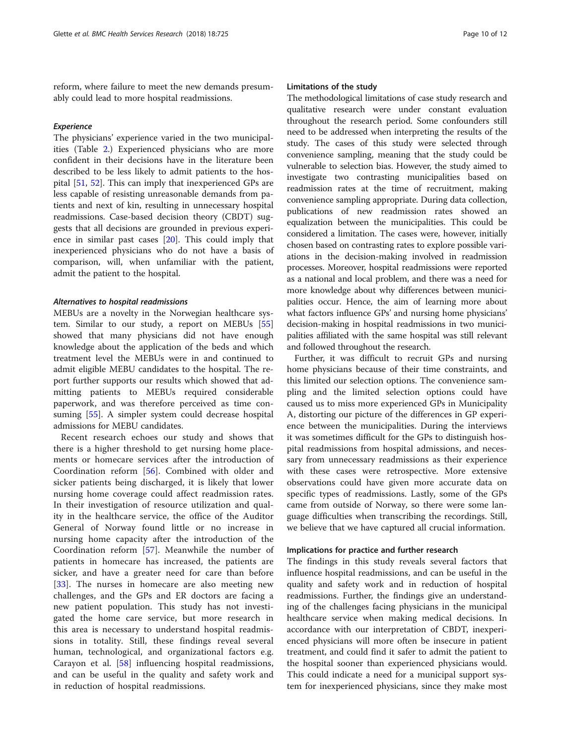reform, where failure to meet the new demands presumably could lead to more hospital readmissions.

#### Experience

The physicians' experience varied in the two municipalities (Table [2.](#page-4-0)) Experienced physicians who are more confident in their decisions have in the literature been described to be less likely to admit patients to the hospital [[51,](#page-11-0) [52\]](#page-11-0). This can imply that inexperienced GPs are less capable of resisting unreasonable demands from patients and next of kin, resulting in unnecessary hospital readmissions. Case-based decision theory (CBDT) suggests that all decisions are grounded in previous experience in similar past cases [\[20\]](#page-11-0). This could imply that inexperienced physicians who do not have a basis of comparison, will, when unfamiliar with the patient, admit the patient to the hospital.

#### Alternatives to hospital readmissions

MEBUs are a novelty in the Norwegian healthcare system. Similar to our study, a report on MEBUs [[55](#page-11-0)] showed that many physicians did not have enough knowledge about the application of the beds and which treatment level the MEBUs were in and continued to admit eligible MEBU candidates to the hospital. The report further supports our results which showed that admitting patients to MEBUs required considerable paperwork, and was therefore perceived as time consuming [\[55](#page-11-0)]. A simpler system could decrease hospital admissions for MEBU candidates.

Recent research echoes our study and shows that there is a higher threshold to get nursing home placements or homecare services after the introduction of Coordination reform [[56\]](#page-11-0). Combined with older and sicker patients being discharged, it is likely that lower nursing home coverage could affect readmission rates. In their investigation of resource utilization and quality in the healthcare service, the office of the Auditor General of Norway found little or no increase in nursing home capacity after the introduction of the Coordination reform [\[57](#page-11-0)]. Meanwhile the number of patients in homecare has increased, the patients are sicker, and have a greater need for care than before [[33\]](#page-11-0). The nurses in homecare are also meeting new challenges, and the GPs and ER doctors are facing a new patient population. This study has not investigated the home care service, but more research in this area is necessary to understand hospital readmissions in totality. Still, these findings reveal several human, technological, and organizational factors e.g. Carayon et al. [[58\]](#page-11-0) influencing hospital readmissions, and can be useful in the quality and safety work and in reduction of hospital readmissions.

#### Limitations of the study

The methodological limitations of case study research and qualitative research were under constant evaluation throughout the research period. Some confounders still need to be addressed when interpreting the results of the study. The cases of this study were selected through convenience sampling, meaning that the study could be vulnerable to selection bias. However, the study aimed to investigate two contrasting municipalities based on readmission rates at the time of recruitment, making convenience sampling appropriate. During data collection, publications of new readmission rates showed an equalization between the municipalities. This could be considered a limitation. The cases were, however, initially chosen based on contrasting rates to explore possible variations in the decision-making involved in readmission processes. Moreover, hospital readmissions were reported as a national and local problem, and there was a need for more knowledge about why differences between municipalities occur. Hence, the aim of learning more about what factors influence GPs' and nursing home physicians' decision-making in hospital readmissions in two municipalities affiliated with the same hospital was still relevant and followed throughout the research.

Further, it was difficult to recruit GPs and nursing home physicians because of their time constraints, and this limited our selection options. The convenience sampling and the limited selection options could have caused us to miss more experienced GPs in Municipality A, distorting our picture of the differences in GP experience between the municipalities. During the interviews it was sometimes difficult for the GPs to distinguish hospital readmissions from hospital admissions, and necessary from unnecessary readmissions as their experience with these cases were retrospective. More extensive observations could have given more accurate data on specific types of readmissions. Lastly, some of the GPs came from outside of Norway, so there were some language difficulties when transcribing the recordings. Still, we believe that we have captured all crucial information.

#### Implications for practice and further research

The findings in this study reveals several factors that influence hospital readmissions, and can be useful in the quality and safety work and in reduction of hospital readmissions. Further, the findings give an understanding of the challenges facing physicians in the municipal healthcare service when making medical decisions. In accordance with our interpretation of CBDT, inexperienced physicians will more often be insecure in patient treatment, and could find it safer to admit the patient to the hospital sooner than experienced physicians would. This could indicate a need for a municipal support system for inexperienced physicians, since they make most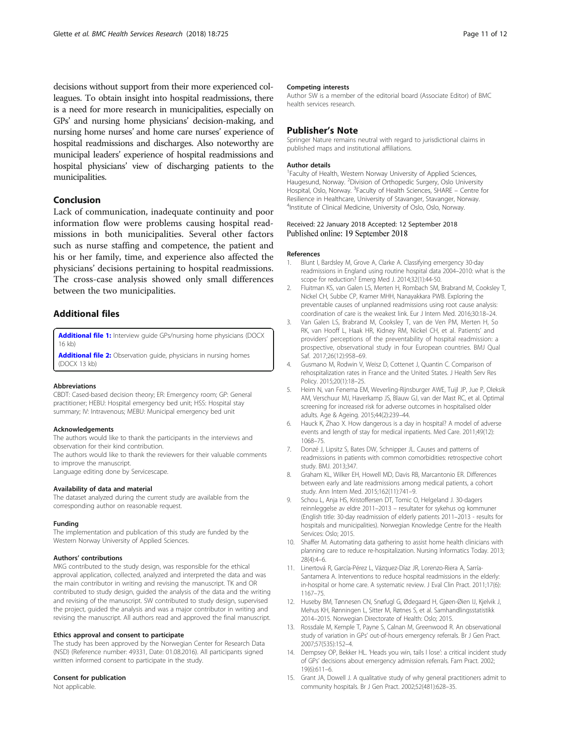<span id="page-10-0"></span>decisions without support from their more experienced colleagues. To obtain insight into hospital readmissions, there is a need for more research in municipalities, especially on GPs' and nursing home physicians' decision-making, and nursing home nurses' and home care nurses' experience of hospital readmissions and discharges. Also noteworthy are municipal leaders' experience of hospital readmissions and hospital physicians' view of discharging patients to the municipalities.

## Conclusion

Lack of communication, inadequate continuity and poor information flow were problems causing hospital readmissions in both municipalities. Several other factors such as nurse staffing and competence, the patient and his or her family, time, and experience also affected the physicians' decisions pertaining to hospital readmissions. The cross-case analysis showed only small differences between the two municipalities.

## Additional files

[Additional file 1:](https://doi.org/10.1186/s12913-018-3538-3) Interview guide GPs/nursing home physicians (DOCX 16 kb)

[Additional file 2:](https://doi.org/10.1186/s12913-018-3538-3) Observation guide, physicians in nursing homes (DOCX 13 kb)

#### Abbreviations

CBDT: Cased-based decision theory; ER: Emergency room; GP: General practitioner; HEBU: Hospital emergency bed unit; HSS: Hospital stay summary; IV: Intravenous; MEBU: Municipal emergency bed unit

#### Acknowledgements

The authors would like to thank the participants in the interviews and observation for their kind contribution.

The authors would like to thank the reviewers for their valuable comments to improve the manuscript.

Language editing done by Servicescape.

#### Availability of data and material

The dataset analyzed during the current study are available from the corresponding author on reasonable request.

#### Funding

The implementation and publication of this study are funded by the Western Norway University of Applied Sciences.

## Authors' contributions

MKG contributed to the study design, was responsible for the ethical approval application, collected, analyzed and interpreted the data and was the main contributor in writing and revising the manuscript. TK and OR contributed to study design, guided the analysis of the data and the writing and revising of the manuscript. SW contributed to study design, supervised the project, guided the analysis and was a major contributor in writing and revising the manuscript. All authors read and approved the final manuscript.

#### Ethics approval and consent to participate

The study has been approved by the Norwegian Center for Research Data (NSD) (Reference number: 49331, Date: 01.08.2016). All participants signed written informed consent to participate in the study.

#### Consent for publication

Not applicable.

#### Competing interests

Author SW is a member of the editorial board (Associate Editor) of BMC health services research.

## Publisher's Note

Springer Nature remains neutral with regard to jurisdictional claims in published maps and institutional affiliations.

#### Author details

<sup>1</sup> Faculty of Health, Western Norway University of Applied Sciences Haugesund, Norway. <sup>2</sup> Division of Orthopedic Surgery, Oslo University Hospital, Oslo, Norway. <sup>3</sup>Faculty of Health Sciences, SHARE - Centre for Resilience in Healthcare, University of Stavanger, Stavanger, Norway. 4 Institute of Clinical Medicine, University of Oslo, Oslo, Norway.

#### Received: 22 January 2018 Accepted: 12 September 2018 Published online: 19 September 2018

#### References

- 1. Blunt I, Bardsley M, Grove A, Clarke A. Classifying emergency 30-day readmissions in England using routine hospital data 2004–2010: what is the scope for reduction? Emerg Med J. 2014;32(1):44-50.
- 2. Fluitman KS, van Galen LS, Merten H, Rombach SM, Brabrand M, Cooksley T, Nickel CH, Subbe CP, Kramer MHH, Nanayakkara PWB. Exploring the preventable causes of unplanned readmissions using root cause analysis: coordination of care is the weakest link. Eur J Intern Med. 2016;30:18–24.
- 3. Van Galen LS, Brabrand M, Cooksley T, van de Ven PM, Merten H, So RK, van Hooff L, Haak HR, Kidney RM, Nickel CH, et al. Patients' and providers' perceptions of the preventability of hospital readmission: a prospective, observational study in four European countries. BMJ Qual Saf. 2017;26(12):958–69.
- 4. Gusmano M, Rodwin V, Weisz D, Cottenet J, Quantin C. Comparison of rehospitalization rates in France and the United States. J Health Serv Res Policy. 2015;20(1):18–25.
- 5. Heim N, van Fenema EM, Weverling-Rijnsburger AWE, Tuijl JP, Jue P, Oleksik AM, Verschuur MJ, Haverkamp JS, Blauw GJ, van der Mast RC, et al. Optimal screening for increased risk for adverse outcomes in hospitalised older adults. Age & Ageing. 2015;44(2):239–44.
- 6. Hauck K, Zhao X. How dangerous is a day in hospital? A model of adverse events and length of stay for medical inpatients. Med Care. 2011;49(12): 1068–75.
- 7. Donzé J, Lipsitz S, Bates DW, Schnipper JL. Causes and patterns of readmissions in patients with common comorbidities: retrospective cohort study. BMJ. 2013;347.
- 8. Graham KL, Wilker EH, Howell MD, Davis RB, Marcantonio ER. Differences between early and late readmissions among medical patients, a cohort study. Ann Intern Med. 2015;162(11):741–9.
- 9. Schou L, Anja HS, Kristoffersen DT, Tomic O, Helgeland J. 30-dagers reinnleggelse av eldre 2011–2013 – resultater for sykehus og kommuner (English title: 30-day readmission of elderly patients 2011–2013 - results for hospitals and municipalities). Norwegian Knowledge Centre for the Health Services: Oslo; 2015.
- 10. Shaffer M. Automating data gathering to assist home health clinicians with planning care to reduce re-hospitalization. Nursing Informatics Today. 2013; 28(4):4–6.
- 11. Linertová R, García-Pérez L, Vázquez-Díaz JR, Lorenzo-Riera A, Sarría-Santamera A. Interventions to reduce hospital readmissions in the elderly: in-hospital or home care. A systematic review. J Eval Clin Pract. 2011;17(6): 1167–75.
- 12. Huseby BM, Tønnesen CN, Snøfugl G, Ødegaard H, Gjøen-Øien IJ, Kjelvik J, Mehus KH, Rønningen L, Sitter M, Røtnes S, et al. Samhandlingsstatistikk 2014–2015. Norwegian Directorate of Health: Oslo; 2015.
- 13. Rossdale M, Kemple T, Payne S, Calnan M, Greenwood R. An observational study of variation in GPs' out-of-hours emergency referrals. Br J Gen Pract. 2007;57(535):152–4.
- 14. Dempsey OP, Bekker HL. 'Heads you win, tails I lose': a critical incident study of GPs' decisions about emergency admission referrals. Fam Pract. 2002; 19(6):611–6.
- 15. Grant JA, Dowell J. A qualitative study of why general practitioners admit to community hospitals. Br J Gen Pract. 2002;52(481):628–35.